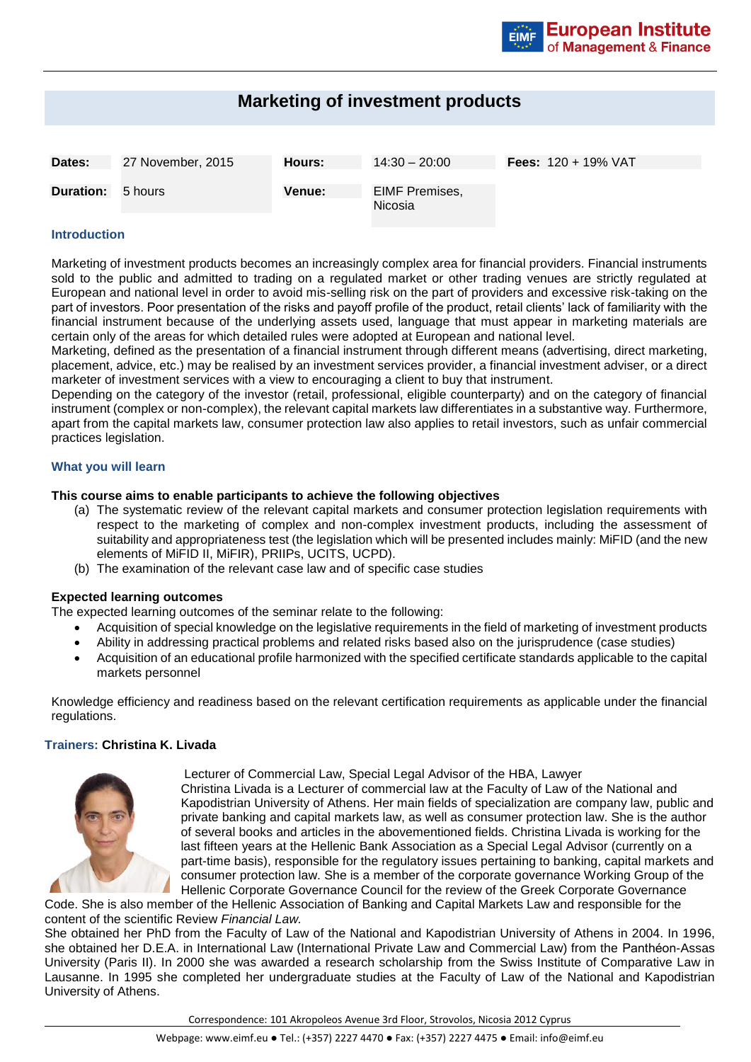# **Marketing of investment products**

| Dates:                   | 27 November, 2015 | Hours:        | $14:30 - 20:00$           | <b>Fees:</b> $120 + 19\%$ VAT |
|--------------------------|-------------------|---------------|---------------------------|-------------------------------|
| <b>Duration:</b> 5 hours |                   | <b>Venue:</b> | EIMF Premises,<br>Nicosia |                               |

## **Introduction**

Marketing of investment products becomes an increasingly complex area for financial providers. Financial instruments sold to the public and admitted to trading on a regulated market or other trading venues are strictly regulated at European and national level in order to avoid mis-selling risk on the part of providers and excessive risk-taking on the part of investors. Poor presentation of the risks and payoff profile of the product, retail clients' lack of familiarity with the financial instrument because of the underlying assets used, language that must appear in marketing materials are certain only of the areas for which detailed rules were adopted at European and national level.

Marketing, defined as the presentation of a financial instrument through different means (advertising, direct marketing, placement, advice, etc.) may be realised by an investment services provider, a financial investment adviser, or a direct marketer of investment services with a view to encouraging a client to buy that instrument.

Depending on the category of the investor (retail, professional, eligible counterparty) and on the category of financial instrument (complex or non-complex), the relevant capital markets law differentiates in a substantive way. Furthermore, apart from the capital markets law, consumer protection law also applies to retail investors, such as unfair commercial practices legislation.

#### **What you will learn**

## **This course aims to enable participants to achieve the following objectives**

- (a) The systematic review of the relevant capital markets and consumer protection legislation requirements with respect to the marketing of complex and non-complex investment products, including the assessment of suitability and appropriateness test (the legislation which will be presented includes mainly: MiFID (and the new elements of MiFID II, MiFIR), PRIIPs, UCITS, UCPD).
- (b) The examination of the relevant case law and of specific case studies

#### **Expected learning outcomes**

The expected learning outcomes of the seminar relate to the following:

- Acquisition of special knowledge on the legislative requirements in the field of marketing of investment products
- Ability in addressing practical problems and related risks based also on the jurisprudence (case studies)
- Acquisition of an educational profile harmonized with the specified certificate standards applicable to the capital markets personnel

Knowledge efficiency and readiness based on the relevant certification requirements as applicable under the financial regulations.

## **Trainers: Christina K. Livada**



Lecturer of Commercial Law, Special Legal Advisor of the HBA, Lawyer Christina Livada is a Lecturer of commercial law at the Faculty of Law of the National and Kapodistrian University of Athens. Her main fields of specialization are company law, public and private banking and capital markets law, as well as consumer protection law. She is the author of several books and articles in the abovementioned fields. Christina Livada is working for the last fifteen years at the Hellenic Bank Association as a Special Legal Advisor (currently on a part-time basis), responsible for the regulatory issues pertaining to banking, capital markets and consumer protection law. She is a member of the corporate governance Working Group of the Hellenic Corporate Governance Council for the review of the Greek Corporate Governance

Code. She is also member of the Hellenic Association of Banking and Capital Markets Law and responsible for the content of the scientific Review *Financial Law.*

She obtained her PhD from the Faculty of Law of the National and Kapodistrian University of Athens in 2004. In 1996, she obtained her D.E.A. in International Law (International Private Law and Commercial Law) from the Panthéon-Assas University (Paris II). In 2000 she was awarded a research scholarship from the Swiss Institute of Comparative Law in Lausanne. In 1995 she completed her undergraduate studies at the Faculty of Law of the National and Kapodistrian University of Athens.

Correspondence: 101 Akropoleos Avenue 3rd Floor, Strovolos, Nicosia 2012 Cyprus